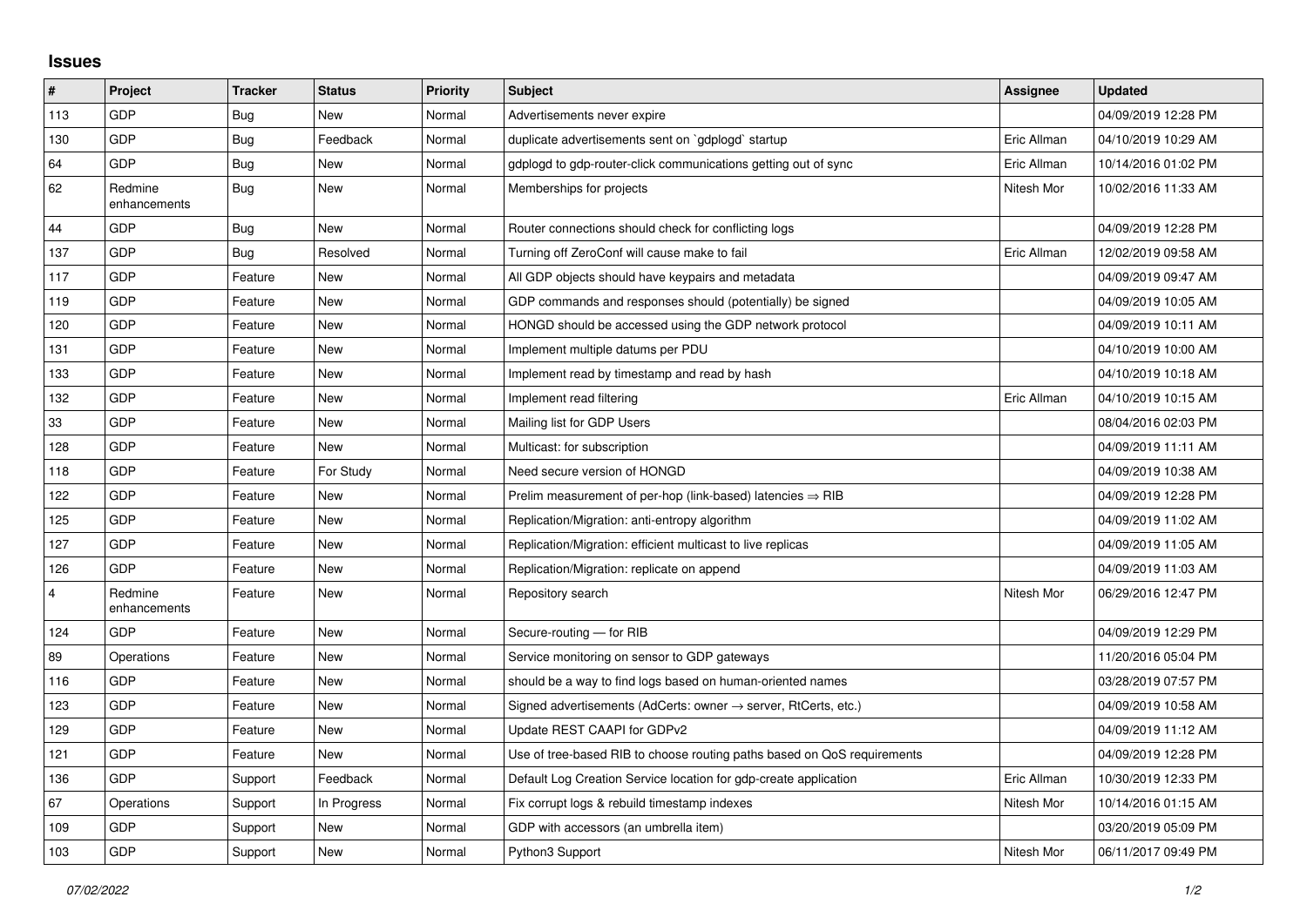## **Issues**

| #              | Project                 | <b>Tracker</b> | <b>Status</b> | <b>Priority</b> | <b>Subject</b>                                                             | Assignee    | <b>Updated</b>      |
|----------------|-------------------------|----------------|---------------|-----------------|----------------------------------------------------------------------------|-------------|---------------------|
| 113            | GDP                     | Bug            | <b>New</b>    | Normal          | Advertisements never expire                                                |             | 04/09/2019 12:28 PM |
| 130            | GDP                     | Bug            | Feedback      | Normal          | duplicate advertisements sent on `gdplogd` startup                         | Eric Allman | 04/10/2019 10:29 AM |
| 64             | <b>GDP</b>              | Bug            | <b>New</b>    | Normal          | gdplogd to gdp-router-click communications getting out of sync             | Eric Allman | 10/14/2016 01:02 PM |
| 62             | Redmine<br>enhancements | Bug            | <b>New</b>    | Normal          | Memberships for projects                                                   | Nitesh Mor  | 10/02/2016 11:33 AM |
| 44             | <b>GDP</b>              | Bug            | <b>New</b>    | Normal          | Router connections should check for conflicting logs                       |             | 04/09/2019 12:28 PM |
| 137            | GDP                     | Bug            | Resolved      | Normal          | Turning off ZeroConf will cause make to fail                               | Eric Allman | 12/02/2019 09:58 AM |
| 117            | GDP                     | Feature        | <b>New</b>    | Normal          | All GDP objects should have keypairs and metadata                          |             | 04/09/2019 09:47 AM |
| 119            | <b>GDP</b>              | Feature        | New           | Normal          | GDP commands and responses should (potentially) be signed                  |             | 04/09/2019 10:05 AM |
| 120            | <b>GDP</b>              | Feature        | <b>New</b>    | Normal          | HONGD should be accessed using the GDP network protocol                    |             | 04/09/2019 10:11 AM |
| 131            | GDP                     | Feature        | <b>New</b>    | Normal          | Implement multiple datums per PDU                                          |             | 04/10/2019 10:00 AM |
| 133            | <b>GDP</b>              | Feature        | New           | Normal          | Implement read by timestamp and read by hash                               |             | 04/10/2019 10:18 AM |
| 132            | <b>GDP</b>              | Feature        | <b>New</b>    | Normal          | Implement read filtering                                                   | Eric Allman | 04/10/2019 10:15 AM |
| 33             | GDP                     | Feature        | <b>New</b>    | Normal          | Mailing list for GDP Users                                                 |             | 08/04/2016 02:03 PM |
| 128            | GDP                     | Feature        | <b>New</b>    | Normal          | Multicast: for subscription                                                |             | 04/09/2019 11:11 AM |
| 118            | <b>GDP</b>              | Feature        | For Study     | Normal          | Need secure version of HONGD                                               |             | 04/09/2019 10:38 AM |
| 122            | GDP                     | Feature        | <b>New</b>    | Normal          | Prelim measurement of per-hop (link-based) latencies $\Rightarrow$ RIB     |             | 04/09/2019 12:28 PM |
| 125            | <b>GDP</b>              | Feature        | New           | Normal          | Replication/Migration: anti-entropy algorithm                              |             | 04/09/2019 11:02 AM |
| 127            | <b>GDP</b>              | Feature        | <b>New</b>    | Normal          | Replication/Migration: efficient multicast to live replicas                |             | 04/09/2019 11:05 AM |
| 126            | GDP                     | Feature        | New           | Normal          | Replication/Migration: replicate on append                                 |             | 04/09/2019 11:03 AM |
| $\overline{4}$ | Redmine<br>enhancements | Feature        | New           | Normal          | Repository search                                                          | Nitesh Mor  | 06/29/2016 12:47 PM |
| 124            | <b>GDP</b>              | Feature        | <b>New</b>    | Normal          | Secure-routing - for RIB                                                   |             | 04/09/2019 12:29 PM |
| 89             | Operations              | Feature        | <b>New</b>    | Normal          | Service monitoring on sensor to GDP gateways                               |             | 11/20/2016 05:04 PM |
| 116            | <b>GDP</b>              | Feature        | <b>New</b>    | Normal          | should be a way to find logs based on human-oriented names                 |             | 03/28/2019 07:57 PM |
| 123            | <b>GDP</b>              | Feature        | New           | Normal          | Signed advertisements (AdCerts: owner $\rightarrow$ server, RtCerts, etc.) |             | 04/09/2019 10:58 AM |
| 129            | GDP                     | Feature        | <b>New</b>    | Normal          | Update REST CAAPI for GDPv2                                                |             | 04/09/2019 11:12 AM |
| 121            | GDP                     | Feature        | <b>New</b>    | Normal          | Use of tree-based RIB to choose routing paths based on QoS requirements    |             | 04/09/2019 12:28 PM |
| 136            | <b>GDP</b>              | Support        | Feedback      | Normal          | Default Log Creation Service location for gdp-create application           | Eric Allman | 10/30/2019 12:33 PM |
| 67             | Operations              | Support        | In Progress   | Normal          | Fix corrupt logs & rebuild timestamp indexes                               | Nitesh Mor  | 10/14/2016 01:15 AM |
| 109            | <b>GDP</b>              | Support        | <b>New</b>    | Normal          | GDP with accessors (an umbrella item)                                      |             | 03/20/2019 05:09 PM |
| 103            | <b>GDP</b>              | Support        | <b>New</b>    | Normal          | Python3 Support                                                            | Nitesh Mor  | 06/11/2017 09:49 PM |